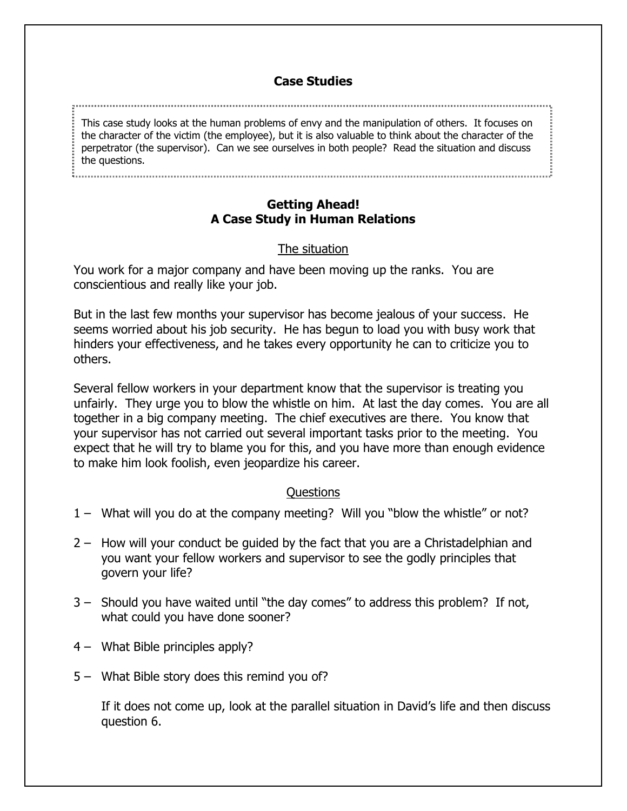#### **Case Studies**

This case study looks at the human problems of envy and the manipulation of others. It focuses on the character of the victim (the employee), but it is also valuable to think about the character of the perpetrator (the supervisor). Can we see ourselves in both people? Read the situation and discuss the questions.

### **Getting Ahead! A Case Study in Human Relations**

# The situation

You work for a major company and have been moving up the ranks. You are conscientious and really like your job.

But in the last few months your supervisor has become jealous of your success. He seems worried about his job security. He has begun to load you with busy work that hinders your effectiveness, and he takes every opportunity he can to criticize you to others.

Several fellow workers in your department know that the supervisor is treating you unfairly. They urge you to blow the whistle on him. At last the day comes. You are all together in a big company meeting. The chief executives are there. You know that your supervisor has not carried out several important tasks prior to the meeting. You expect that he will try to blame you for this, and you have more than enough evidence to make him look foolish, even jeopardize his career.

# Questions

- 1 What will you do at the company meeting? Will you "blow the whistle" or not?
- 2 How will your conduct be guided by the fact that you are a Christadelphian and you want your fellow workers and supervisor to see the godly principles that govern your life?
- 3 Should you have waited until "the day comes" to address this problem? If not, what could you have done sooner?
- 4 What Bible principles apply?
- 5 What Bible story does this remind you of?

If it does not come up, look at the parallel situation in David's life and then discuss question 6.